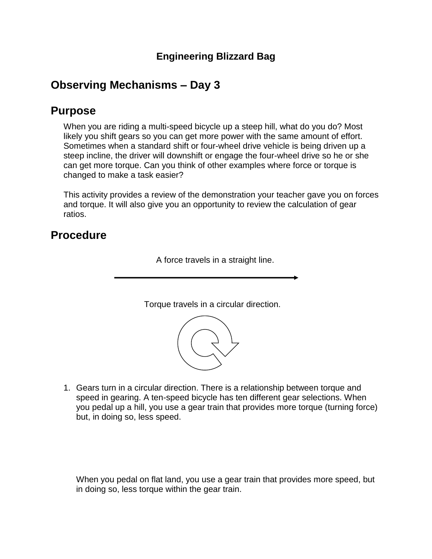#### **Engineering Blizzard Bag**

# **Observing Mechanisms – Day 3**

### **Purpose**

When you are riding a multi-speed bicycle up a steep hill, what do you do? Most likely you shift gears so you can get more power with the same amount of effort. Sometimes when a standard shift or four-wheel drive vehicle is being driven up a steep incline, the driver will downshift or engage the four-wheel drive so he or she can get more torque. Can you think of other examples where force or torque is changed to make a task easier?

This activity provides a review of the demonstration your teacher gave you on forces and torque. It will also give you an opportunity to review the calculation of gear ratios.

## **Procedure**

A force travels in a straight line.

Torque travels in a circular direction.



1. Gears turn in a circular direction. There is a relationship between torque and speed in gearing. A ten-speed bicycle has ten different gear selections. When you pedal up a hill, you use a gear train that provides more torque (turning force) but, in doing so, less speed.

When you pedal on flat land, you use a gear train that provides more speed, but in doing so, less torque within the gear train.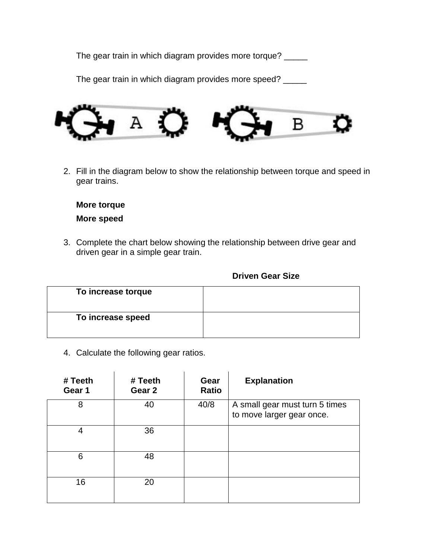The gear train in which diagram provides more torque? \_\_\_\_\_

The gear train in which diagram provides more speed? \_\_\_\_\_



2. Fill in the diagram below to show the relationship between torque and speed in gear trains.

**More torque More speed**

3. Complete the chart below showing the relationship between drive gear and driven gear in a simple gear train.

#### **Driven Gear Size**

| To increase torque |  |
|--------------------|--|
| To increase speed  |  |

4. Calculate the following gear ratios.

| # Teeth<br>Gear 1 | # Teeth<br>Gear 2 | Gear<br><b>Ratio</b> | <b>Explanation</b>                                          |
|-------------------|-------------------|----------------------|-------------------------------------------------------------|
| 8                 | 40                | 40/8                 | A small gear must turn 5 times<br>to move larger gear once. |
| 4                 | 36                |                      |                                                             |
| 6                 | 48                |                      |                                                             |
| 16                | 20                |                      |                                                             |